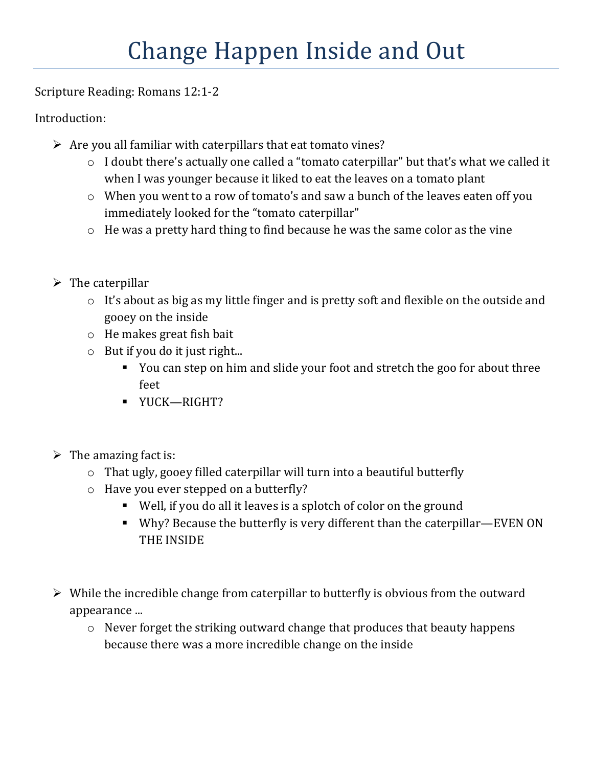Scripture Reading: Romans 12:1-2

Introduction:

- $\triangleright$  Are you all familiar with caterpillars that eat tomato vines?
	- o I doubt there's actually one called a "tomato caterpillar" but that's what we called it when I was younger because it liked to eat the leaves on a tomato plant
	- o When you went to a row of tomato's and saw a bunch of the leaves eaten off you immediately looked for the "tomato caterpillar"
	- o He was a pretty hard thing to find because he was the same color as the vine
- $\triangleright$  The caterpillar
	- o It's about as big as my little finger and is pretty soft and flexible on the outside and gooey on the inside
	- o He makes great fish bait
	- o But if you do it just right...
		- You can step on him and slide your foot and stretch the goo for about three feet
		- YUCK—RIGHT?
- $\triangleright$  The amazing fact is:
	- o That ugly, gooey filled caterpillar will turn into a beautiful butterfly
	- o Have you ever stepped on a butterfly?
		- Well, if you do all it leaves is a splotch of color on the ground
		- Why? Because the butterfly is very different than the caterpillar—EVEN ON THE INSIDE
- $\triangleright$  While the incredible change from caterpillar to butterfly is obvious from the outward appearance ...
	- o Never forget the striking outward change that produces that beauty happens because there was a more incredible change on the inside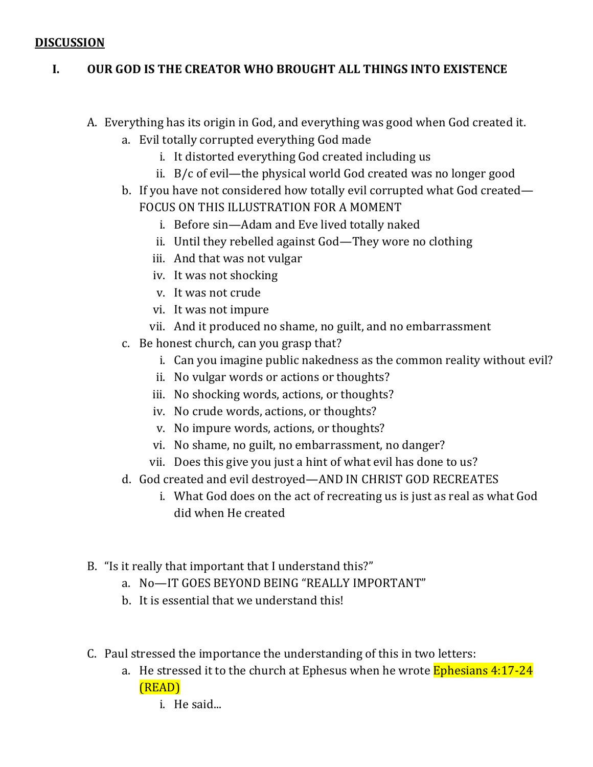#### **DISCUSSION**

### **I. OUR GOD IS THE CREATOR WHO BROUGHT ALL THINGS INTO EXISTENCE**

- A. Everything has its origin in God, and everything was good when God created it.
	- a. Evil totally corrupted everything God made
		- i. It distorted everything God created including us
		- ii. B/c of evil—the physical world God created was no longer good
	- b. If you have not considered how totally evil corrupted what God created— FOCUS ON THIS ILLUSTRATION FOR A MOMENT
		- i. Before sin—Adam and Eve lived totally naked
		- ii. Until they rebelled against God—They wore no clothing
		- iii. And that was not vulgar
		- iv. It was not shocking
		- v. It was not crude
		- vi. It was not impure
		- vii. And it produced no shame, no guilt, and no embarrassment
	- c. Be honest church, can you grasp that?
		- i. Can you imagine public nakedness as the common reality without evil?
		- ii. No vulgar words or actions or thoughts?
		- iii. No shocking words, actions, or thoughts?
		- iv. No crude words, actions, or thoughts?
		- v. No impure words, actions, or thoughts?
		- vi. No shame, no guilt, no embarrassment, no danger?
		- vii. Does this give you just a hint of what evil has done to us?
	- d. God created and evil destroyed—AND IN CHRIST GOD RECREATES
		- i. What God does on the act of recreating us is just as real as what God did when He created
- B. "Is it really that important that I understand this?"
	- a. No—IT GOES BEYOND BEING "REALLY IMPORTANT"
	- b. It is essential that we understand this!
- C. Paul stressed the importance the understanding of this in two letters:
	- a. He stressed it to the church at Ephesus when he wrote **Ephesians 4:17-24** (READ)
		- i. He said...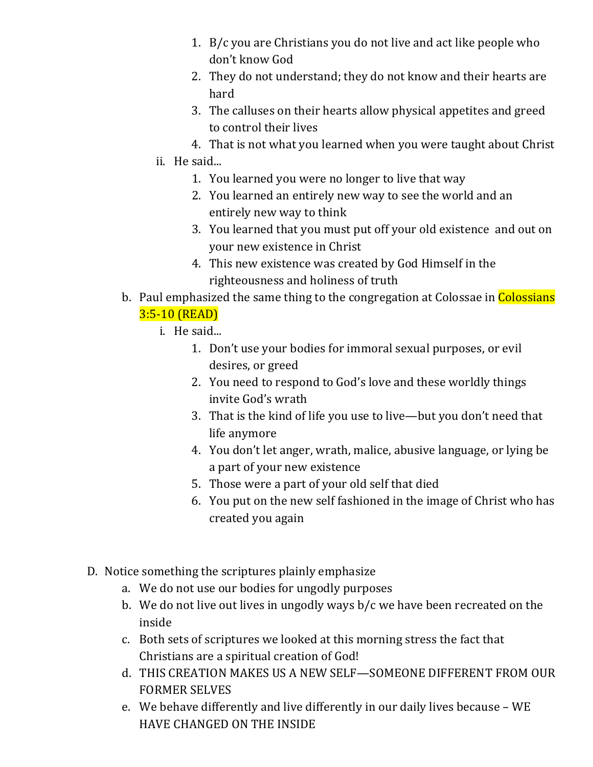- 1. B/c you are Christians you do not live and act like people who don't know God
- 2. They do not understand; they do not know and their hearts are hard
- 3. The calluses on their hearts allow physical appetites and greed to control their lives
- 4. That is not what you learned when you were taught about Christ
- ii. He said...
	- 1. You learned you were no longer to live that way
	- 2. You learned an entirely new way to see the world and an entirely new way to think
	- 3. You learned that you must put off your old existence and out on your new existence in Christ
	- 4. This new existence was created by God Himself in the righteousness and holiness of truth
- b. Paul emphasized the same thing to the congregation at Colossae in Colossians 3:5-10 (READ)
	- i. He said...
		- 1. Don't use your bodies for immoral sexual purposes, or evil desires, or greed
		- 2. You need to respond to God's love and these worldly things invite God's wrath
		- 3. That is the kind of life you use to live—but you don't need that life anymore
		- 4. You don't let anger, wrath, malice, abusive language, or lying be a part of your new existence
		- 5. Those were a part of your old self that died
		- 6. You put on the new self fashioned in the image of Christ who has created you again
- D. Notice something the scriptures plainly emphasize
	- a. We do not use our bodies for ungodly purposes
	- b. We do not live out lives in ungodly ways b/c we have been recreated on the inside
	- c. Both sets of scriptures we looked at this morning stress the fact that Christians are a spiritual creation of God!
	- d. THIS CREATION MAKES US A NEW SELF—SOMEONE DIFFERENT FROM OUR FORMER SELVES
	- e. We behave differently and live differently in our daily lives because WE HAVE CHANGED ON THE INSIDE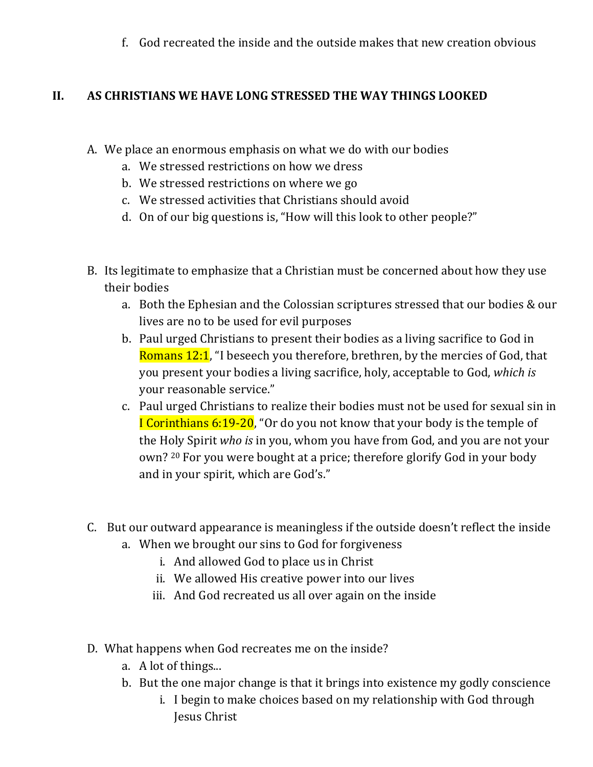f. God recreated the inside and the outside makes that new creation obvious

# **II. AS CHRISTIANS WE HAVE LONG STRESSED THE WAY THINGS LOOKED**

- A. We place an enormous emphasis on what we do with our bodies
	- a. We stressed restrictions on how we dress
	- b. We stressed restrictions on where we go
	- c. We stressed activities that Christians should avoid
	- d. On of our big questions is, "How will this look to other people?"
- B. Its legitimate to emphasize that a Christian must be concerned about how they use their bodies
	- a. Both the Ephesian and the Colossian scriptures stressed that our bodies & our lives are no to be used for evil purposes
	- b. Paul urged Christians to present their bodies as a living sacrifice to God in Romans 12:1, "I beseech you therefore, brethren, by the mercies of God, that you present your bodies a living sacrifice, holy, acceptable to God, *which is* your reasonable service."
	- c. Paul urged Christians to realize their bodies must not be used for sexual sin in I Corinthians 6:19-20, "Or do you not know that your body is the temple of the Holy Spirit *who is* in you, whom you have from God, and you are not your own? 20 For you were bought at a price; therefore glorify God in your body and in your spirit, which are God's."
- C. But our outward appearance is meaningless if the outside doesn't reflect the inside
	- a. When we brought our sins to God for forgiveness
		- i. And allowed God to place us in Christ
		- ii. We allowed His creative power into our lives
		- iii. And God recreated us all over again on the inside
- D. What happens when God recreates me on the inside?
	- a. A lot of things...
	- b. But the one major change is that it brings into existence my godly conscience
		- i. I begin to make choices based on my relationship with God through Jesus Christ